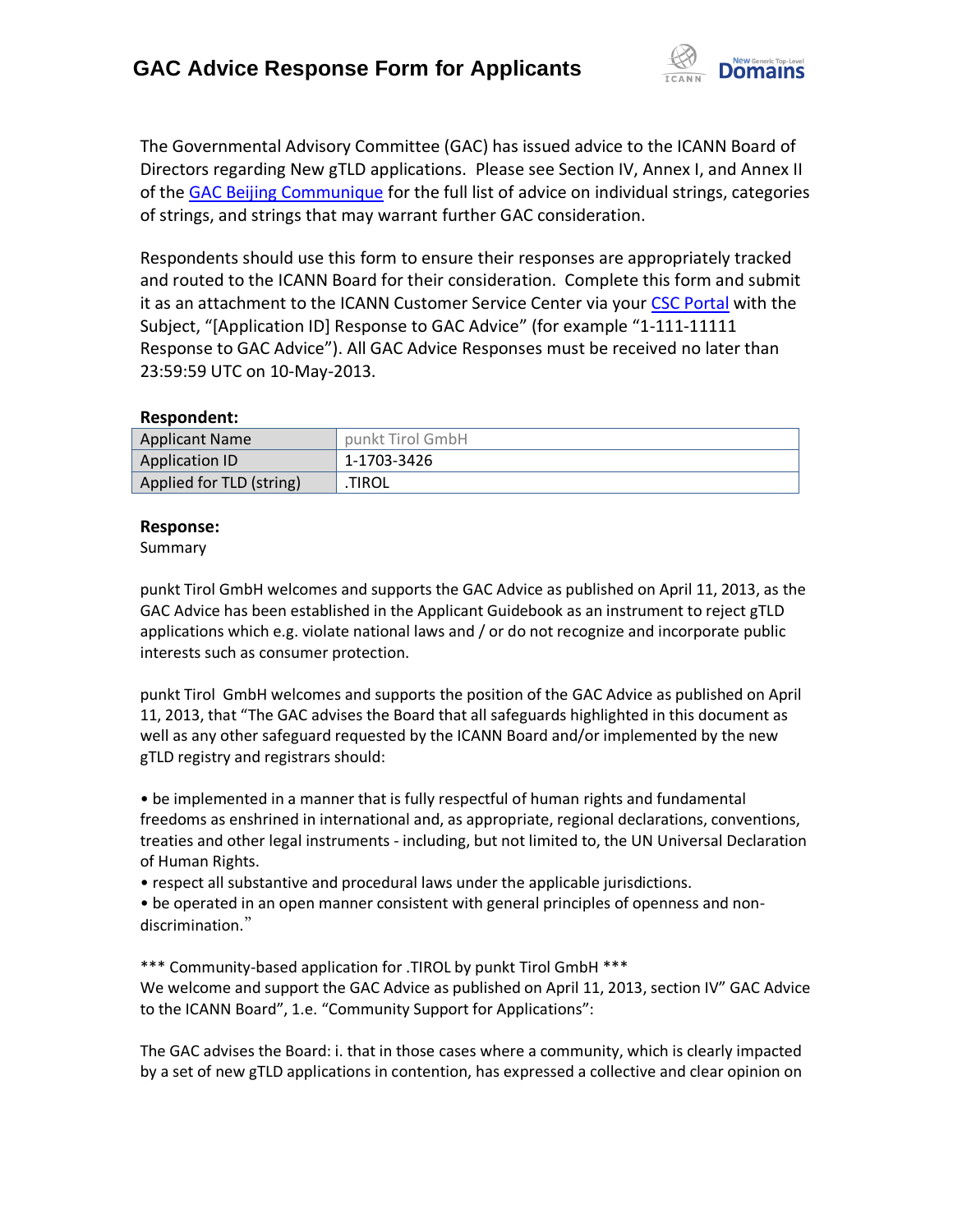

The Governmental Advisory Committee (GAC) has issued advice to the ICANN Board of Directors regarding New gTLD applications. Please see Section IV, Annex I, and Annex II of the [GAC Beijing Communique](http://www.icann.org/en/news/correspondence/gac-to-board-18apr13-en.pdf) for the full list of advice on individual strings, categories of strings, and strings that may warrant further GAC consideration.

Respondents should use this form to ensure their responses are appropriately tracked and routed to the ICANN Board for their consideration. Complete this form and submit it as an attachment to the ICANN Customer Service Center via your CSC [Portal](https://myicann.secure.force.com/) with the Subject, "[Application ID] Response to GAC Advice" (for example "1-111-11111 Response to GAC Advice"). All GAC Advice Responses must be received no later than 23:59:59 UTC on 10-May-2013.

### **Respondent:**

| <b>Applicant Name</b>    | punkt Tirol GmbH |
|--------------------------|------------------|
| <b>Application ID</b>    | 1-1703-3426      |
| Applied for TLD (string) | <b>TIROL</b>     |

### **Response:**

Summary

punkt Tirol GmbH welcomes and supports the GAC Advice as published on April 11, 2013, as the GAC Advice has been established in the Applicant Guidebook as an instrument to reject gTLD applications which e.g. violate national laws and / or do not recognize and incorporate public interests such as consumer protection.

punkt Tirol GmbH welcomes and supports the position of the GAC Advice as published on April 11, 2013, that "The GAC advises the Board that all safeguards highlighted in this document as well as any other safeguard requested by the ICANN Board and/or implemented by the new gTLD registry and registrars should:

• be implemented in a manner that is fully respectful of human rights and fundamental freedoms as enshrined in international and, as appropriate, regional declarations, conventions, treaties and other legal instruments - including, but not limited to, the UN Universal Declaration of Human Rights.

• respect all substantive and procedural laws under the applicable jurisdictions.

• be operated in an open manner consistent with general principles of openness and nondiscrimination."

\*\*\* Community-based application for .TIROL by punkt Tirol GmbH \*\*\* We welcome and support the GAC Advice as published on April 11, 2013, section IV" GAC Advice to the ICANN Board", 1.e. "Community Support for Applications":

The GAC advises the Board: i. that in those cases where a community, which is clearly impacted by a set of new gTLD applications in contention, has expressed a collective and clear opinion on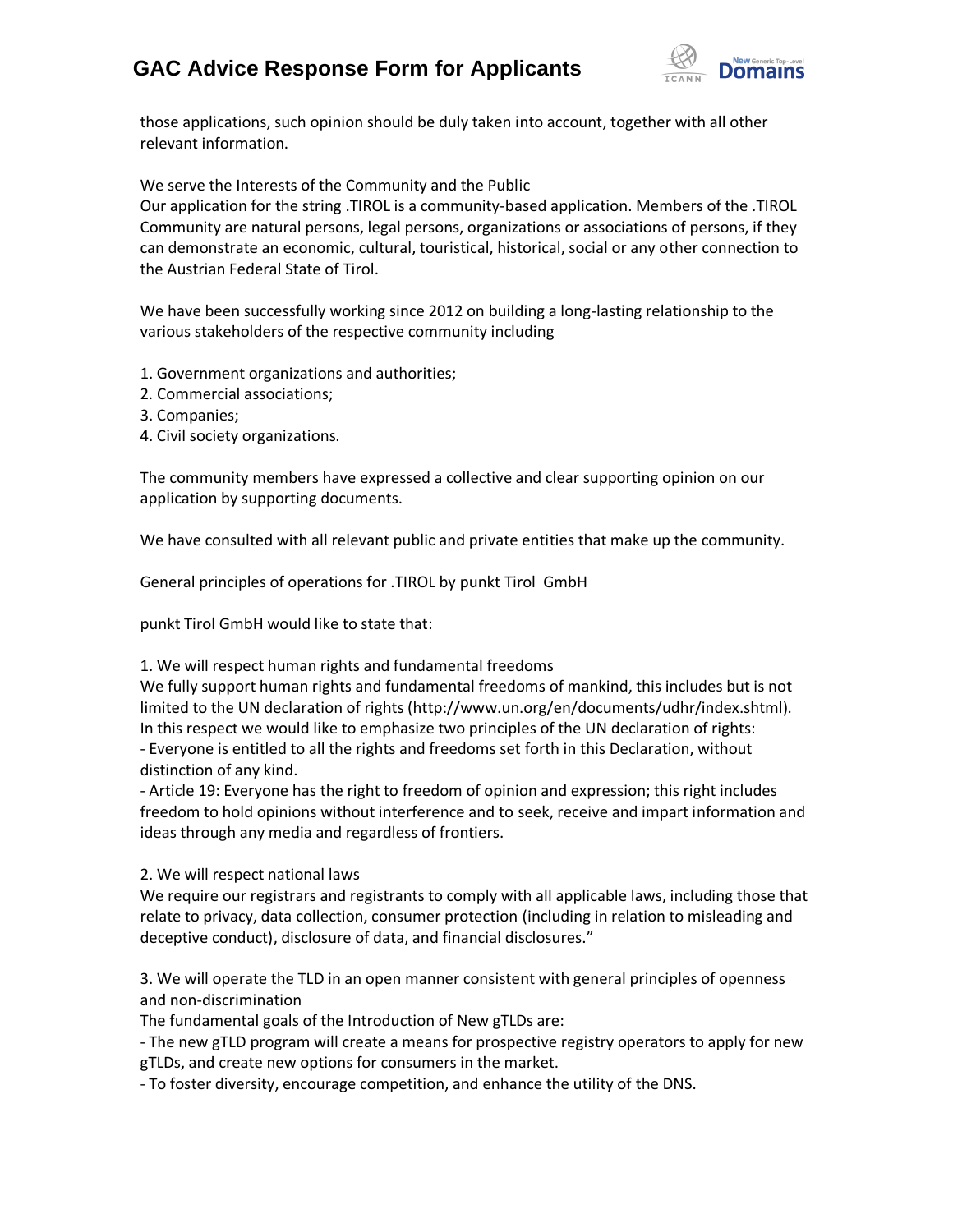# **GAC Advice Response Form for Applicants**



those applications, such opinion should be duly taken into account, together with all other relevant information.

We serve the Interests of the Community and the Public

Our application for the string .TIROL is a community-based application. Members of the .TIROL Community are natural persons, legal persons, organizations or associations of persons, if they can demonstrate an economic, cultural, touristical, historical, social or any other connection to the Austrian Federal State of Tirol.

We have been successfully working since 2012 on building a long-lasting relationship to the various stakeholders of the respective community including

- 1. Government organizations and authorities;
- 2. Commercial associations;
- 3. Companies;
- 4. Civil society organizations.

The community members have expressed a collective and clear supporting opinion on our application by supporting documents.

We have consulted with all relevant public and private entities that make up the community.

General principles of operations for .TIROL by punkt Tirol GmbH

punkt Tirol GmbH would like to state that:

1. We will respect human rights and fundamental freedoms

We fully support human rights and fundamental freedoms of mankind, this includes but is not limited to the UN declaration of rights (http://www.un.org/en/documents/udhr/index.shtml). In this respect we would like to emphasize two principles of the UN declaration of rights: - Everyone is entitled to all the rights and freedoms set forth in this Declaration, without distinction of any kind.

- Article 19: Everyone has the right to freedom of opinion and expression; this right includes freedom to hold opinions without interference and to seek, receive and impart information and ideas through any media and regardless of frontiers.

2. We will respect national laws

We require our registrars and registrants to comply with all applicable laws, including those that relate to privacy, data collection, consumer protection (including in relation to misleading and deceptive conduct), disclosure of data, and financial disclosures."

3. We will operate the TLD in an open manner consistent with general principles of openness and non-discrimination

The fundamental goals of the Introduction of New gTLDs are:

- The new gTLD program will create a means for prospective registry operators to apply for new gTLDs, and create new options for consumers in the market.

- To foster diversity, encourage competition, and enhance the utility of the DNS.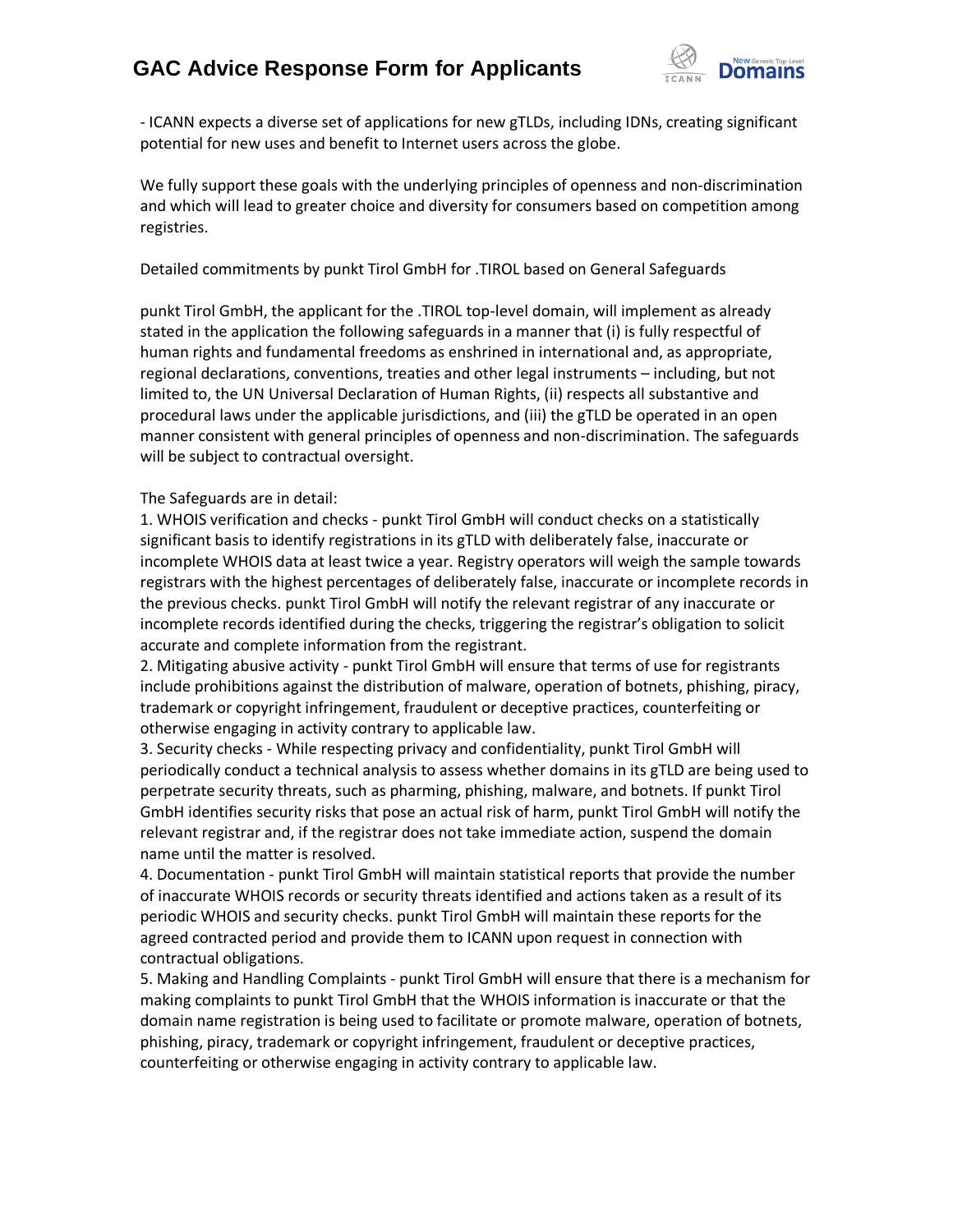## **GAC Advice Response Form for Applicants**



- ICANN expects a diverse set of applications for new gTLDs, including IDNs, creating significant potential for new uses and benefit to Internet users across the globe.

We fully support these goals with the underlying principles of openness and non-discrimination and which will lead to greater choice and diversity for consumers based on competition among registries.

### Detailed commitments by punkt Tirol GmbH for .TIROL based on General Safeguards

punkt Tirol GmbH, the applicant for the .TIROL top-level domain, will implement as already stated in the application the following safeguards in a manner that (i) is fully respectful of human rights and fundamental freedoms as enshrined in international and, as appropriate, regional declarations, conventions, treaties and other legal instruments – including, but not limited to, the UN Universal Declaration of Human Rights, (ii) respects all substantive and procedural laws under the applicable jurisdictions, and (iii) the gTLD be operated in an open manner consistent with general principles of openness and non-discrimination. The safeguards will be subject to contractual oversight.

#### The Safeguards are in detail:

1. WHOIS verification and checks - punkt Tirol GmbH will conduct checks on a statistically significant basis to identify registrations in its gTLD with deliberately false, inaccurate or incomplete WHOIS data at least twice a year. Registry operators will weigh the sample towards registrars with the highest percentages of deliberately false, inaccurate or incomplete records in the previous checks. punkt Tirol GmbH will notify the relevant registrar of any inaccurate or incomplete records identified during the checks, triggering the registrar's obligation to solicit accurate and complete information from the registrant.

2. Mitigating abusive activity - punkt Tirol GmbH will ensure that terms of use for registrants include prohibitions against the distribution of malware, operation of botnets, phishing, piracy, trademark or copyright infringement, fraudulent or deceptive practices, counterfeiting or otherwise engaging in activity contrary to applicable law.

3. Security checks - While respecting privacy and confidentiality, punkt Tirol GmbH will periodically conduct a technical analysis to assess whether domains in its gTLD are being used to perpetrate security threats, such as pharming, phishing, malware, and botnets. If punkt Tirol GmbH identifies security risks that pose an actual risk of harm, punkt Tirol GmbH will notify the relevant registrar and, if the registrar does not take immediate action, suspend the domain name until the matter is resolved.

4. Documentation - punkt Tirol GmbH will maintain statistical reports that provide the number of inaccurate WHOIS records or security threats identified and actions taken as a result of its periodic WHOIS and security checks. punkt Tirol GmbH will maintain these reports for the agreed contracted period and provide them to ICANN upon request in connection with contractual obligations.

5. Making and Handling Complaints - punkt Tirol GmbH will ensure that there is a mechanism for making complaints to punkt Tirol GmbH that the WHOIS information is inaccurate or that the domain name registration is being used to facilitate or promote malware, operation of botnets, phishing, piracy, trademark or copyright infringement, fraudulent or deceptive practices, counterfeiting or otherwise engaging in activity contrary to applicable law.